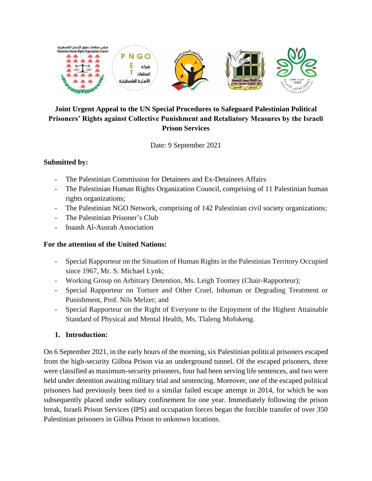

# **Joint Urgent Appeal to the UN Special Procedures to Safeguard Palestinian Political Prisoners' Rights against Collective Punishment and Retaliatory Measures by the Israeli Prison Services**

Date: 9 September 2021

### **Submitted by:**

- The Palestinian Commission for Detainees and Ex-Detainees Affairs
- The Palestinian Human Rights Organization Council, comprising of 11 Palestinian human rights organizations;
- The Palestinian NGO Network, comprising of 142 Palestinian civil society organizations;
- The Palestinian Prisoner's Club
- Inaash Al-Ausrah Association

### **For the attention of the United Nations:**

- Special Rapporteur on the Situation of Human Rights in the Palestinian Territory Occupied since 1967, Mr. S. Michael Lynk;
- Working Group on Arbitrary Detention, Ms. Leigh Toomey (Chair-Rapporteur);
- Special Rapporteur on Torture and Other Cruel, Inhuman or Degrading Treatment or Punishment, Prof. Nils Melzer; and
- Special Rapporteur on the Right of Everyone to the Enjoyment of the Highest Attainable Standard of Physical and Mental Health, Ms. Tlaleng Mofokeng.

### **1. Introduction:**

On 6 September 2021, in the early hours of the morning, six Palestinian political prisoners escaped from the high-security Gilboa Prison via an underground tunnel. Of the escaped prisoners, three were classified as maximum-security prisoners, four had been serving life sentences, and two were held under detention awaiting military trial and sentencing. Moreover, one of the escaped political prisoners had previously been tied to a similar failed escape attempt in 2014, for which he was subsequently placed under solitary confinement for one year. Immediately following the prison break, Israeli Prison Services (IPS) and occupation forces began the forcible transfer of over 350 Palestinian prisoners in Gilboa Prison to unknown locations.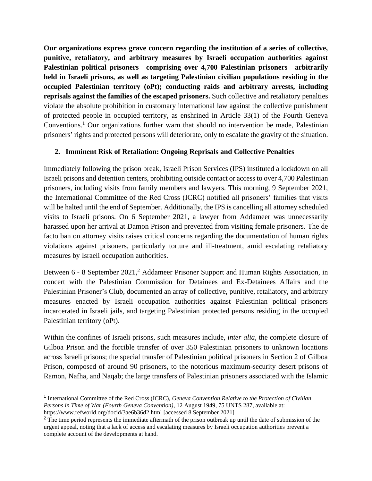**Our organizations express grave concern regarding the institution of a series of collective, punitive, retaliatory, and arbitrary measures by Israeli occupation authorities against Palestinian political prisoners—comprising over 4,700 Palestinian prisoners—arbitrarily held in Israeli prisons, as well as targeting Palestinian civilian populations residing in the occupied Palestinian territory (oPt); conducting raids and arbitrary arrests, including reprisals against the families of the escaped prisoners.** Such collective and retaliatory penalties violate the absolute prohibition in customary international law against the collective punishment of protected people in occupied territory, as enshrined in Article 33(1) of the Fourth Geneva Conventions.<sup>1</sup> Our organizations further warn that should no intervention be made, Palestinian prisoners' rights and protected persons will deteriorate, only to escalate the gravity of the situation.

# **2. Imminent Risk of Retaliation: Ongoing Reprisals and Collective Penalties**

Immediately following the prison break, Israeli Prison Services (IPS) instituted a lockdown on all Israeli prisons and detention centers, prohibiting outside contact or access to over 4,700 Palestinian prisoners, including visits from family members and lawyers. This morning, 9 September 2021, the International Committee of the Red Cross (ICRC) notified all prisoners' families that visits will be halted until the end of September. Additionally, the IPS is cancelling all attorney scheduled visits to Israeli prisons. On 6 September 2021, a lawyer from Addameer was unnecessarily harassed upon her arrival at Damon Prison and prevented from visiting female prisoners. The de facto ban on attorney visits raises critical concerns regarding the documentation of human rights violations against prisoners, particularly torture and ill-treatment, amid escalating retaliatory measures by Israeli occupation authorities.

Between 6 - 8 September 2021,<sup>2</sup> Addameer Prisoner Support and Human Rights Association, in concert with the Palestinian Commission for Detainees and Ex-Detainees Affairs and the Palestinian Prisoner's Club, documented an array of collective, punitive, retaliatory, and arbitrary measures enacted by Israeli occupation authorities against Palestinian political prisoners incarcerated in Israeli jails, and targeting Palestinian protected persons residing in the occupied Palestinian territory (oPt).

Within the confines of Israeli prisons, such measures include, *inter alia*, the complete closure of Gilboa Prison and the forcible transfer of over 350 Palestinian prisoners to unknown locations across Israeli prisons; the special transfer of Palestinian political prisoners in Section 2 of Gilboa Prison, composed of around 90 prisoners, to the notorious maximum-security desert prisons of Ramon, Nafha, and Naqab; the large transfers of Palestinian prisoners associated with the Islamic

<sup>&</sup>lt;sup>1</sup> International Committee of the Red Cross (ICRC), *Geneva Convention Relative to the Protection of Civilian Persons in Time of War (Fourth Geneva Convention)*, 12 August 1949, 75 UNTS 287, available at: https://www.refworld.org/docid/3ae6b36d2.html [accessed 8 September 2021]

<sup>&</sup>lt;sup>2</sup> The time period represents the immediate aftermath of the prison outbreak up until the date of submission of the urgent appeal, noting that a lack of access and escalating measures by Israeli occupation authorities prevent a complete account of the developments at hand.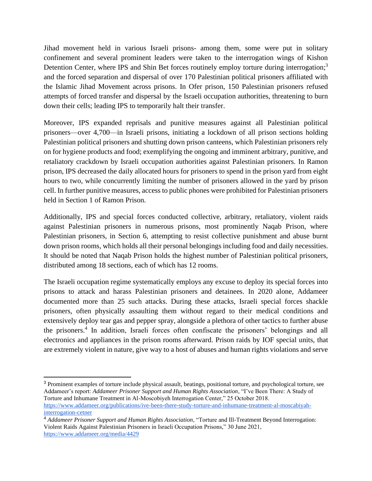Jihad movement held in various Israeli prisons- among them, some were put in solitary confinement and several prominent leaders were taken to the interrogation wings of Kishon Detention Center, where IPS and Shin Bet forces routinely employ torture during interrogation;<sup>3</sup> and the forced separation and dispersal of over 170 Palestinian political prisoners affiliated with the Islamic Jihad Movement across prisons. In Ofer prison, 150 Palestinian prisoners refused attempts of forced transfer and dispersal by the Israeli occupation authorities, threatening to burn down their cells; leading IPS to temporarily halt their transfer.

Moreover, IPS expanded reprisals and punitive measures against all Palestinian political prisoners—over 4,700—in Israeli prisons, initiating a lockdown of all prison sections holding Palestinian political prisoners and shutting down prison canteens, which Palestinian prisoners rely on for hygiene products and food; exemplifying the ongoing and imminent arbitrary, punitive, and retaliatory crackdown by Israeli occupation authorities against Palestinian prisoners. In Ramon prison, IPS decreased the daily allocated hours for prisoners to spend in the prison yard from eight hours to two, while concurrently limiting the number of prisoners allowed in the yard by prison cell. In further punitive measures, access to public phones were prohibited for Palestinian prisoners held in Section 1 of Ramon Prison.

Additionally, IPS and special forces conducted collective, arbitrary, retaliatory, violent raids against Palestinian prisoners in numerous prisons, most prominently Naqab Prison, where Palestinian prisoners, in Section 6, attempting to resist collective punishment and abuse burnt down prison rooms, which holds all their personal belongings including food and daily necessities. It should be noted that Naqab Prison holds the highest number of Palestinian political prisoners, distributed among 18 sections, each of which has 12 rooms.

The Israeli occupation regime systematically employs any excuse to deploy its special forces into prisons to attack and harass Palestinian prisoners and detainees. In 2020 alone, Addameer documented more than 25 such attacks. During these attacks, Israeli special forces shackle prisoners, often physically assaulting them without regard to their medical conditions and extensively deploy tear gas and pepper spray, alongside a plethora of other tactics to further abuse the prisoners. 4 In addition, Israeli forces often confiscate the prisoners' belongings and all electronics and appliances in the prison rooms afterward. Prison raids by IOF special units, that are extremely violent in nature, give way to a host of abuses and human rights violations and serve

<sup>&</sup>lt;sup>3</sup> Prominent examples of torture include physical assault, beatings, positional torture, and psychological torture, see Addameer's report: *Addameer Prisoner Support and Human Rights Association*, "I've Been There: A Study of Torture and Inhumane Treatment in Al-Moscobiyeh Interrogation Center," 25 October 2018. [https://www.addameer.org/publications/ive-been-there-study-torture-and-inhumane-treatment-al-moscabiyah](https://www.addameer.org/publications/ive-been-there-study-torture-and-inhumane-treatment-al-moscabiyah-interrogation-cetner)[interrogation-cetner](https://www.addameer.org/publications/ive-been-there-study-torture-and-inhumane-treatment-al-moscabiyah-interrogation-cetner)

<sup>4</sup> *Addameer Prisoner Support and Human Rights Association*, "Torture and Ill-Treatment Beyond Interrogation: Violent Raids Against Palestinian Prisoners in Israeli Occupation Prisons," 30 June 2021, <https://www.addameer.org/media/4429>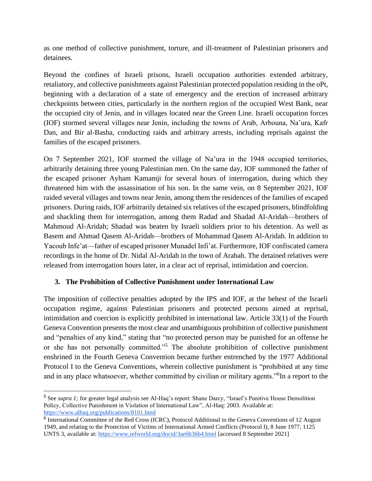as one method of collective punishment, torture, and ill-treatment of Palestinian prisoners and detainees.

Beyond the confines of Israeli prisons, Israeli occupation authorities extended arbitrary, retaliatory, and collective punishments against Palestinian protected population residing in the oPt, beginning with a declaration of a state of emergency and the erection of increased arbitrary checkpoints between cities, particularly in the northern region of the occupied West Bank, near the occupied city of Jenin, and in villages located near the Green Line. Israeli occupation forces (IOF) stormed several villages near Jenin, including the towns of Arab, Arbouna, Na'ura, Kafr Dan, and Bir al-Basha, conducting raids and arbitrary arrests, including reprisals against the families of the escaped prisoners.

On 7 September 2021, IOF stormed the village of Na'ura in the 1948 occupied territories, arbitrarily detaining three young Palestinian men. On the same day, IOF summoned the father of the escaped prisoner Ayham Kamamji for several hours of interrogation, during which they threatened him with the assassination of his son. In the same vein, on 8 September 2021, IOF raided several villages and towns near Jenin, among them the residences of the families of escaped prisoners. During raids, IOF arbitrarily detained six relatives of the escaped prisoners, blindfolding and shackling them for interrogation, among them Radad and Shadad Al-Aridah—brothers of Mahmoud Al-Aridah; Shadad was beaten by Israeli soldiers prior to his detention. As well as Basem and Ahmad Qasem Al-Aridah—brothers of Mohammad Qasem Al-Aridah. In addition to Yacoub Infe'at—father of escaped prisoner Munadel Infi'at. Furthermore, IOF confiscated camera recordings in the home of Dr. Nidal Al-Aridah in the town of Arabah. The detained relatives were released from interrogation hours later, in a clear act of reprisal, intimidation and coercion.

### **3. The Prohibition of Collective Punishment under International Law**

The imposition of collective penalties adopted by the IPS and IOF, at the behest of the Israeli occupation regime, against Palestinian prisoners and protected persons aimed at reprisal, intimidation and coercion is explicitly prohibited in international law. Article 33(1) of the Fourth Geneva Convention presents the most clear and unambiguous prohibition of collective punishment and "penalties of any kind," stating that "no protected person may be punished for an offense he or she has not personally committed."<sup>5</sup> The absolute prohibition of collective punishment enshrined in the Fourth Geneva Convention became further entrenched by the 1977 Additional Protocol I to the Geneva Conventions, wherein collective punishment is "prohibited at any time and in any place whatsoever, whether committed by civilian or military agents."<sup>6</sup> In a report to the

<sup>5</sup> See *supra 1;* for greater legal analysis see Al-Haq's report: Shane Darcy, "Israel's Punitive House Demolition Policy, Collective Punishment in Violation of International Law", Al-Haq: 2003. Available at[:](https://www.alhaq.org/publications/8101.html) <https://www.alhaq.org/publications/8101.html>

<sup>&</sup>lt;sup>6</sup> International Committee of the Red Cross (ICRC), Protocol Additional to the Geneva Conventions of 12 August 1949, and relating to the Protection of Victims of International Armed Conflicts (Protocol I), 8 June 1977, 1125 UNTS 3, available at[: https://www.refworld.org/docid/3ae6b36b4.html](https://www.refworld.org/docid/3ae6b36b4.html) [accessed 8 September 2021]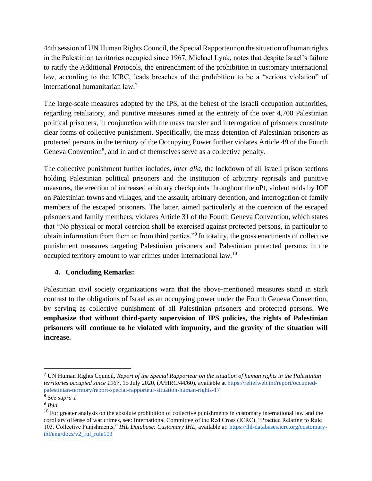44th session of UN Human Rights Council, the Special Rapporteur on the situation of human rights in the Palestinian territories occupied since 1967, Michael Lynk, notes that despite Israel's failure to ratify the Additional Protocols, the entrenchment of the prohibition in customary international law, according to the ICRC, leads breaches of the prohibition to be a "serious violation" of international humanitarian law.<sup>7</sup>

The large-scale measures adopted by the IPS, at the behest of the Israeli occupation authorities, regarding retaliatory, and punitive measures aimed at the entirety of the over 4,700 Palestinian political prisoners, in conjunction with the mass transfer and interrogation of prisoners constitute clear forms of collective punishment. Specifically, the mass detention of Palestinian prisoners as protected persons in the territory of the Occupying Power further violates Article 49 of the Fourth Geneva Convention<sup>8</sup>, and in and of themselves serve as a collective penalty.

The collective punishment further includes, *inter alia*, the lockdown of all Israeli prison sections holding Palestinian political prisoners and the institution of arbitrary reprisals and punitive measures, the erection of increased arbitrary checkpoints throughout the oPt, violent raids by IOF on Palestinian towns and villages, and the assault, arbitrary detention, and interrogation of family members of the escaped prisoners. The latter, aimed particularly at the coercion of the escaped prisoners and family members, violates Article 31 of the Fourth Geneva Convention, which states that "No physical or moral coercion shall be exercised against protected persons, in particular to obtain information from them or from third parties."<sup>9</sup> In totality, the gross enactments of collective punishment measures targeting Palestinian prisoners and Palestinian protected persons in the occupied territory amount to war crimes under international law.<sup>10</sup>

# **4. Concluding Remarks:**

Palestinian civil society organizations warn that the above-mentioned measures stand in stark contrast to the obligations of Israel as an occupying power under the Fourth Geneva Convention, by serving as collective punishment of all Palestinian prisoners and protected persons. **We emphasize that without third-party supervision of IPS policies, the rights of Palestinian prisoners will continue to be violated with impunity, and the gravity of the situation will increase.**

<sup>7</sup> UN Human Rights Council, *Report of the Special Rapporteur on the situation of human rights in the Palestinian territories occupied since 1967*, 15 July 2020, (A/HRC/44/60), available at [https://reliefweb.int/report/occupied](https://reliefweb.int/report/occupied-palestinian-territory/report-special-rapporteur-situation-human-rights-17)[palestinian-territory/report-special-rapporteur-situation-human-rights-17](https://reliefweb.int/report/occupied-palestinian-territory/report-special-rapporteur-situation-human-rights-17)

<sup>8</sup> See *supra 1*

<sup>9</sup> *Ibid.*

<sup>&</sup>lt;sup>10</sup> For greater analysis on the absolute prohibition of collective punishments in customary international law and the corollary offense of war crimes, see: International Committee of the Red Cross (ICRC), "Practice Relating to Rule 103. Collective Punishments," *IHL Database: Customary IHL*, available at[: https://ihl-databases.icrc.org/customary](https://ihl-databases.icrc.org/customary-ihl/eng/docs/v2_rul_rule103)[ihl/eng/docs/v2\\_rul\\_rule103](https://ihl-databases.icrc.org/customary-ihl/eng/docs/v2_rul_rule103)